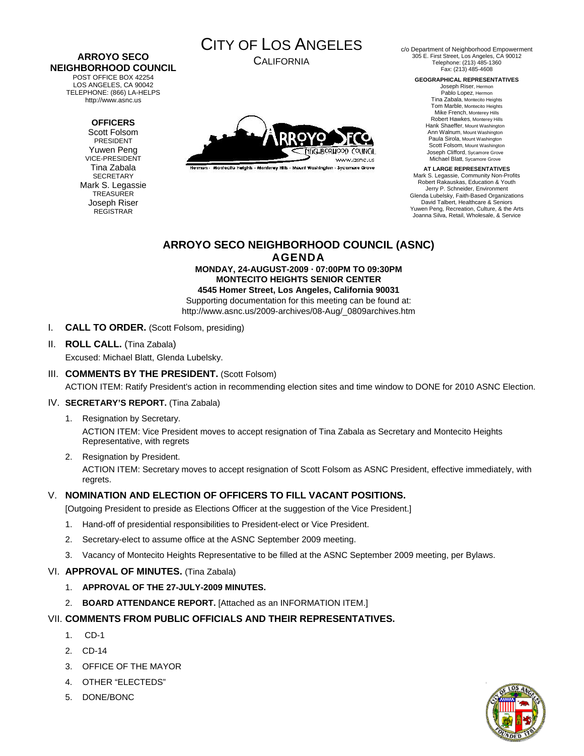# **ARROYO SECO NEIGHBORHOOD COUNCIL**

POST OFFICE BOX 42254 LOS ANGELES, CA 90042 TELEPHONE: (866) LA-HELPS http://www.asnc.us

### **OFFICERS**

Scott Folsom PRESIDENT Yuwen Peng VICE-PRESIDENT Tina Zabala SECRETARY Mark S. Legassie **TREASURER** Joseph Riser REGISTRAR



CALIFORNIA



Hermon - Montecito Heights - Monterey Hills - Mount Washington - Sycamore Grove

c/o Department of Neighborhood Empowerment 305 E. First Street, Los Angeles, CA 90012 Telephone: (213) 485-1360 Fax: (213) 485-4608

**GEOGRAPHICAL REPRESENTATIVES** 

Joseph Riser, Hermon Pablo Lopez, Hermon Tina Zabala, Montecito Heights Tom Marble, Montecito Heights Mike French, Monterey Hills Robert Hawkes, Monterey Hills Hank Shaeffer, Mount Washington Ann Walnum, Mount Washington Paula Sirola, Mount Washington Scott Folsom, Mount Washington Joseph Clifford, Sycamore Grove Michael Blatt, Sycamore Grove

**AT LARGE REPRESENTATIVES**  Mark S. Legassie, Community Non-Profits Robert Rakauskas, Education & Youth Jerry P. Schneider, Environment Glenda Lubelsky, Faith-Based Organizations David Talbert, Healthcare & Seniors Yuwen Peng, Recreation, Culture, & the Arts Joanna Silva, Retail, Wholesale, & Service

# **ARROYO SECO NEIGHBORHOOD COUNCIL (ASNC) AGENDA**

#### **MONDAY, 24-AUGUST-2009 · 07:00PM TO 09:30PM MONTECITO HEIGHTS SENIOR CENTER 4545 Homer Street, Los Angeles, California 90031**

Supporting documentation for this meeting can be found at: http://www.asnc.us/2009-archives/08-Aug/\_0809archives.htm

- I. **CALL TO ORDER.** (Scott Folsom, presiding)
- II. **ROLL CALL.** (Tina Zabala) Excused: Michael Blatt, Glenda Lubelsky.

## III. **COMMENTS BY THE PRESIDENT.** (Scott Folsom) ACTION ITEM: Ratify President's action in recommending election sites and time window to DONE for 2010 ASNC Election.

### IV. **SECRETARY'S REPORT.** (Tina Zabala)

1. Resignation by Secretary.

ACTION ITEM: Vice President moves to accept resignation of Tina Zabala as Secretary and Montecito Heights Representative, with regrets

2. Resignation by President.

ACTION ITEM: Secretary moves to accept resignation of Scott Folsom as ASNC President, effective immediately, with regrets.

# V. **NOMINATION AND ELECTION OF OFFICERS TO FILL VACANT POSITIONS.**

[Outgoing President to preside as Elections Officer at the suggestion of the Vice President.]

- 1. Hand-off of presidential responsibilities to President-elect or Vice President.
- 2. Secretary-elect to assume office at the ASNC September 2009 meeting.
- 3. Vacancy of Montecito Heights Representative to be filled at the ASNC September 2009 meeting, per Bylaws.

### VI. **APPROVAL OF MINUTES.** (Tina Zabala)

- 1. **APPROVAL OF THE 27-JULY-2009 MINUTES.**
- 2. **BOARD ATTENDANCE REPORT.** [Attached as an INFORMATION ITEM.]

# VII. **COMMENTS FROM PUBLIC OFFICIALS AND THEIR REPRESENTATIVES.**

- 1. CD-1
- 2. CD-14
- 3. OFFICE OF THE MAYOR
- 4. OTHER "ELECTEDS"
- 5. DONE/BONC

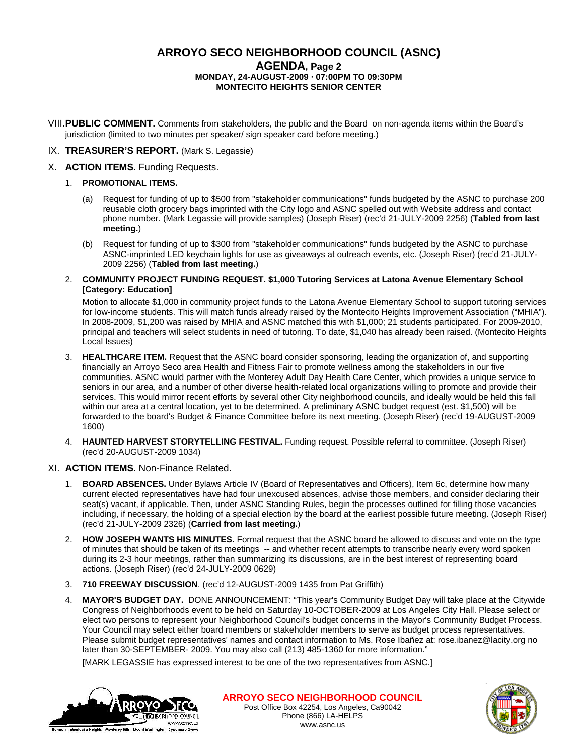## **ARROYO SECO NEIGHBORHOOD COUNCIL (ASNC) AGENDA, Page 2 MONDAY, 24-AUGUST-2009 · 07:00PM TO 09:30PM MONTECITO HEIGHTS SENIOR CENTER**

VIII.**PUBLIC COMMENT.** Comments from stakeholders, the public and the Board on non-agenda items within the Board's jurisdiction (limited to two minutes per speaker/ sign speaker card before meeting.)

#### IX. **TREASURER'S REPORT.** (Mark S. Legassie)

- X. **ACTION ITEMS.** Funding Requests.
	- 1. **PROMOTIONAL ITEMS.**
		- (a) Request for funding of up to \$500 from "stakeholder communications" funds budgeted by the ASNC to purchase 200 reusable cloth grocery bags imprinted with the City logo and ASNC spelled out with Website address and contact phone number. (Mark Legassie will provide samples) (Joseph Riser) (rec'd 21-JULY-2009 2256) (**Tabled from last meeting.**)
		- (b) Request for funding of up to \$300 from "stakeholder communications" funds budgeted by the ASNC to purchase ASNC-imprinted LED keychain lights for use as giveaways at outreach events, etc. (Joseph Riser) (rec'd 21-JULY-2009 2256) (**Tabled from last meeting.**)
	- 2. **COMMUNITY PROJECT FUNDING REQUEST. \$1,000 Tutoring Services at Latona Avenue Elementary School [Category: Education]**

Motion to allocate \$1,000 in community project funds to the Latona Avenue Elementary School to support tutoring services for low-income students. This will match funds already raised by the Montecito Heights Improvement Association ("MHIA"). In 2008-2009, \$1,200 was raised by MHIA and ASNC matched this with \$1,000; 21 students participated. For 2009-2010, principal and teachers will select students in need of tutoring. To date, \$1,040 has already been raised. (Montecito Heights Local Issues)

- 3. **HEALTHCARE ITEM.** Request that the ASNC board consider sponsoring, leading the organization of, and supporting financially an Arroyo Seco area Health and Fitness Fair to promote wellness among the stakeholders in our five communities. ASNC would partner with the Monterey Adult Day Health Care Center, which provides a unique service to seniors in our area, and a number of other diverse health-related local organizations willing to promote and provide their services. This would mirror recent efforts by several other City neighborhood councils, and ideally would be held this fall within our area at a central location, yet to be determined. A preliminary ASNC budget request (est. \$1,500) will be forwarded to the board's Budget & Finance Committee before its next meeting. (Joseph Riser) (rec'd 19-AUGUST-2009 1600)
- 4. **HAUNTED HARVEST STORYTELLING FESTIVAL.** Funding request. Possible referral to committee. (Joseph Riser) (rec'd 20-AUGUST-2009 1034)

### XI. **ACTION ITEMS.** Non-Finance Related.

- 1. **BOARD ABSENCES.** Under Bylaws Article IV (Board of Representatives and Officers), Item 6c, determine how many current elected representatives have had four unexcused absences, advise those members, and consider declaring their seat(s) vacant, if applicable. Then, under ASNC Standing Rules, begin the processes outlined for filling those vacancies including, if necessary, the holding of a special election by the board at the earliest possible future meeting. (Joseph Riser) (rec'd 21-JULY-2009 2326) (**Carried from last meeting.**)
- 2. **HOW JOSEPH WANTS HIS MINUTES.** Formal request that the ASNC board be allowed to discuss and vote on the type of minutes that should be taken of its meetings -- and whether recent attempts to transcribe nearly every word spoken during its 2-3 hour meetings, rather than summarizing its discussions, are in the best interest of representing board actions. (Joseph Riser) (rec'd 24-JULY-2009 0629)
- 3. **710 FREEWAY DISCUSSION**. (rec'd 12-AUGUST-2009 1435 from Pat Griffith)
- 4. **MAYOR'S BUDGET DAY.** DONE ANNOUNCEMENT: "This year's Community Budget Day will take place at the Citywide Congress of Neighborhoods event to be held on Saturday 10-OCTOBER-2009 at Los Angeles City Hall. Please select or elect two persons to represent your Neighborhood Council's budget concerns in the Mayor's Community Budget Process. Your Council may select either board members or stakeholder members to serve as budget process representatives. Please submit budget representatives' names and contact information to Ms. Rose Ibañez at: rose.ibanez@lacity.org no later than 30-SEPTEMBER- 2009. You may also call (213) 485-1360 for more information."

[MARK LEGASSIE has expressed interest to be one of the two representatives from ASNC.]



Post Office Box 42254, Los Angeles, Ca90042 Phone (866) LA-HELPS www.asnc.us **ARROYO SECO NEIGHBORHOOD COUNCIL**

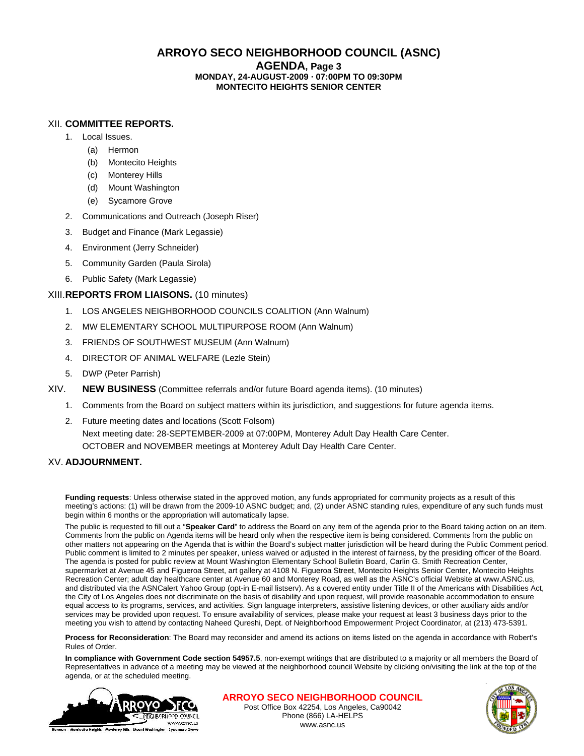## **ARROYO SECO NEIGHBORHOOD COUNCIL (ASNC)**

**AGENDA, Page 3**

#### **MONDAY, 24-AUGUST-2009 · 07:00PM TO 09:30PM MONTECITO HEIGHTS SENIOR CENTER**

#### XII. **COMMITTEE REPORTS.**

- 1. Local Issues.
	- (a) Hermon
	- (b) Montecito Heights
	- (c) Monterey Hills
	- (d) Mount Washington
	- (e) Sycamore Grove
- 2. Communications and Outreach (Joseph Riser)
- 3. Budget and Finance (Mark Legassie)
- 4. Environment (Jerry Schneider)
- 5. Community Garden (Paula Sirola)
- 6. Public Safety (Mark Legassie)

#### XIII.**REPORTS FROM LIAISONS.** (10 minutes)

- 1. LOS ANGELES NEIGHBORHOOD COUNCILS COALITION (Ann Walnum)
- 2. MW ELEMENTARY SCHOOL MULTIPURPOSE ROOM (Ann Walnum)
- 3. FRIENDS OF SOUTHWEST MUSEUM (Ann Walnum)
- 4. DIRECTOR OF ANIMAL WELFARE (Lezle Stein)
- 5. DWP (Peter Parrish)
- XIV. **NEW BUSINESS** (Committee referrals and/or future Board agenda items). (10 minutes)
	- 1. Comments from the Board on subject matters within its jurisdiction, and suggestions for future agenda items.
	- 2. Future meeting dates and locations (Scott Folsom) Next meeting date: 28-SEPTEMBER-2009 at 07:00PM, Monterey Adult Day Health Care Center. OCTOBER and NOVEMBER meetings at Monterey Adult Day Health Care Center.

### XV. **ADJOURNMENT.**

**Funding requests**: Unless otherwise stated in the approved motion, any funds appropriated for community projects as a result of this meeting's actions: (1) will be drawn from the 2009-10 ASNC budget; and, (2) under ASNC standing rules, expenditure of any such funds must begin within 6 months or the appropriation will automatically lapse.

The public is requested to fill out a "**Speaker Card**" to address the Board on any item of the agenda prior to the Board taking action on an item. Comments from the public on Agenda items will be heard only when the respective item is being considered. Comments from the public on other matters not appearing on the Agenda that is within the Board's subject matter jurisdiction will be heard during the Public Comment period. Public comment is limited to 2 minutes per speaker, unless waived or adjusted in the interest of fairness, by the presiding officer of the Board. The agenda is posted for public review at Mount Washington Elementary School Bulletin Board, Carlin G. Smith Recreation Center, supermarket at Avenue 45 and Figueroa Street, art gallery at 4108 N. Figueroa Street, Montecito Heights Senior Center, Montecito Heights Recreation Center; adult day healthcare center at Avenue 60 and Monterey Road, as well as the ASNC's official Website at www.ASNC.us, and distributed via the ASNCalert Yahoo Group (opt-in E-mail listserv). As a covered entity under Title II of the Americans with Disabilities Act, the City of Los Angeles does not discriminate on the basis of disability and upon request, will provide reasonable accommodation to ensure equal access to its programs, services, and activities. Sign language interpreters, assistive listening devices, or other auxiliary aids and/or services may be provided upon request. To ensure availability of services, please make your request at least 3 business days prior to the meeting you wish to attend by contacting Naheed Qureshi, Dept. of Neighborhood Empowerment Project Coordinator, at (213) 473-5391.

**Process for Reconsideration**: The Board may reconsider and amend its actions on items listed on the agenda in accordance with Robert's Rules of Order.

**In compliance with Government Code section 54957.5**, non-exempt writings that are distributed to a majority or all members the Board of Representatives in advance of a meeting may be viewed at the neighborhood council Website by clicking on/visiting the link at the top of the agenda, or at the scheduled meeting.



Post Office Box 42254, Los Angeles, Ca90042 Phone (866) LA-HELPS www.asnc.us **ARROYO SECO NEIGHBORHOOD COUNCIL**

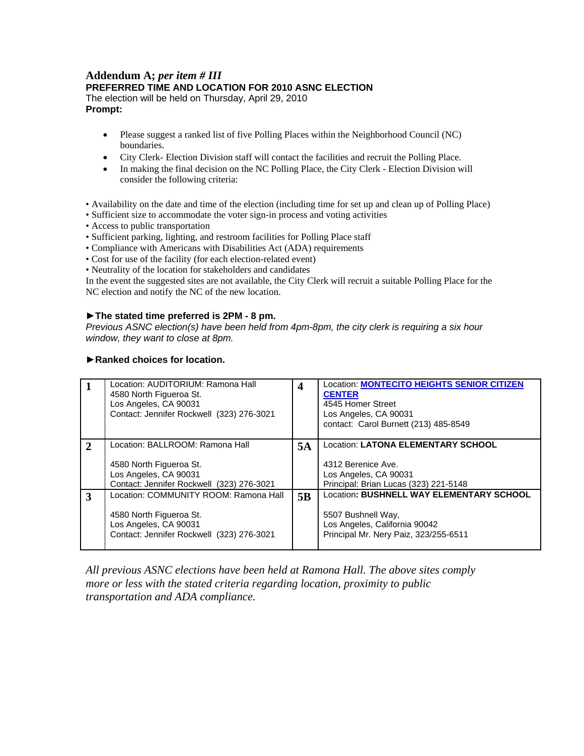#### **Addendum A;** *per item # III* **PREFERRED TIME AND LOCATION FOR 2010 ASNC ELECTION** The election will be held on Thursday, April 29, 2010 **Prompt:**

- Please suggest a ranked list of five Polling Places within the Neighborhood Council (NC) boundaries.
- City Clerk- Election Division staff will contact the facilities and recruit the Polling Place.
- In making the final decision on the NC Polling Place, the City Clerk Election Division will consider the following criteria:
- Availability on the date and time of the election (including time for set up and clean up of Polling Place)
- Sufficient size to accommodate the voter sign-in process and voting activities
- Access to public transportation
- Sufficient parking, lighting, and restroom facilities for Polling Place staff
- Compliance with Americans with Disabilities Act (ADA) requirements
- Cost for use of the facility (for each election-related event)
- Neutrality of the location for stakeholders and candidates

In the event the suggested sites are not available, the City Clerk will recruit a suitable Polling Place for the NC election and notify the NC of the new location.

#### **►The stated time preferred is 2PM - 8 pm.**

*Previous ASNC election(s) have been held from 4pm-8pm, the city clerk is requiring a six hour window, they want to close at 8pm.*

|                             | Location: AUDITORIUM: Ramona Hall<br>4580 North Figueroa St.<br>Los Angeles, CA 90031<br>Contact: Jennifer Rockwell (323) 276-3021     | 4  | <b>Location: MONTECITO HEIGHTS SENIOR CITIZEN</b><br><b>CENTER</b><br>4545 Homer Street<br>Los Angeles, CA 90031<br>contact: Carol Burnett (213) 485-8549 |
|-----------------------------|----------------------------------------------------------------------------------------------------------------------------------------|----|-----------------------------------------------------------------------------------------------------------------------------------------------------------|
| $\mathcal{D}_{\mathcal{L}}$ | Location: BALLROOM: Ramona Hall<br>4580 North Figueroa St.<br>Los Angeles, CA 90031<br>Contact: Jennifer Rockwell (323) 276-3021       | 5A | Location: LATONA ELEMENTARY SCHOOL<br>4312 Berenice Ave.<br>Los Angeles, CA 90031<br>Principal: Brian Lucas (323) 221-5148                                |
| 3                           | Location: COMMUNITY ROOM: Ramona Hall<br>4580 North Figueroa St.<br>Los Angeles, CA 90031<br>Contact: Jennifer Rockwell (323) 276-3021 | 5B | Location: BUSHNELL WAY ELEMENTARY SCHOOL<br>5507 Bushnell Way,<br>Los Angeles, California 90042<br>Principal Mr. Nery Paiz, 323/255-6511                  |

#### **►Ranked choices for location.**

*All previous ASNC elections have been held at Ramona Hall. The above sites comply more or less with the stated criteria regarding location, proximity to public transportation and ADA compliance.*